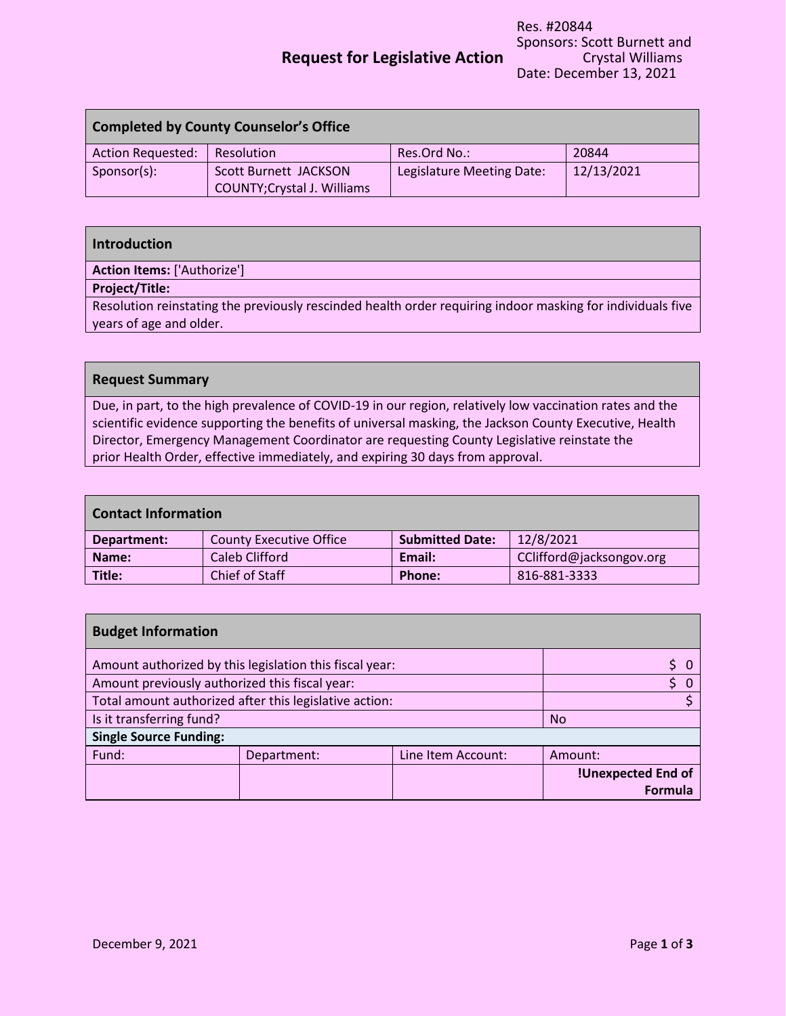# **Request for Legislative Action**

| <b>Completed by County Counselor's Office</b> |                                                             |                           |            |
|-----------------------------------------------|-------------------------------------------------------------|---------------------------|------------|
| Action Requested:                             | Resolution                                                  | Res.Ord No.:              | 20844      |
| Sponsor(s):                                   | Scott Burnett JACKSON<br><b>COUNTY; Crystal J. Williams</b> | Legislature Meeting Date: | 12/13/2021 |

| Introduction                                                                                               |
|------------------------------------------------------------------------------------------------------------|
| <b>Action Items: ['Authorize']</b>                                                                         |
| Project/Title:                                                                                             |
| Resolution reinstating the previously rescinded health order requiring indoor masking for individuals five |
| years of age and older.                                                                                    |

#### **Request Summary**

Due, in part, to the high prevalence of COVID-19 in our region, relatively low vaccination rates and the scientific evidence supporting the benefits of universal masking, the Jackson County Executive, Health Director, Emergency Management Coordinator are requesting County Legislative reinstate the prior Health Order, effective immediately, and expiring 30 days from approval.

| <b>Contact Information</b> |                         |                        |                          |
|----------------------------|-------------------------|------------------------|--------------------------|
| Department:                | County Executive Office | <b>Submitted Date:</b> | 12/8/2021                |
| Name:                      | Caleb Clifford          | Email:                 | CClifford@jacksongov.org |
| Title:                     | Chief of Staff          | Phone:                 | 816-881-3333             |

| <b>Budget Information</b>                              |                                                         |                    |                           |
|--------------------------------------------------------|---------------------------------------------------------|--------------------|---------------------------|
|                                                        | Amount authorized by this legislation this fiscal year: |                    |                           |
| Amount previously authorized this fiscal year:         |                                                         |                    |                           |
| Total amount authorized after this legislative action: |                                                         |                    |                           |
| Is it transferring fund?                               |                                                         |                    | <b>No</b>                 |
| <b>Single Source Funding:</b>                          |                                                         |                    |                           |
| Fund:                                                  | Department:                                             | Line Item Account: | Amount:                   |
|                                                        |                                                         |                    | <b>!Unexpected End of</b> |
|                                                        |                                                         |                    | <b>Formula</b>            |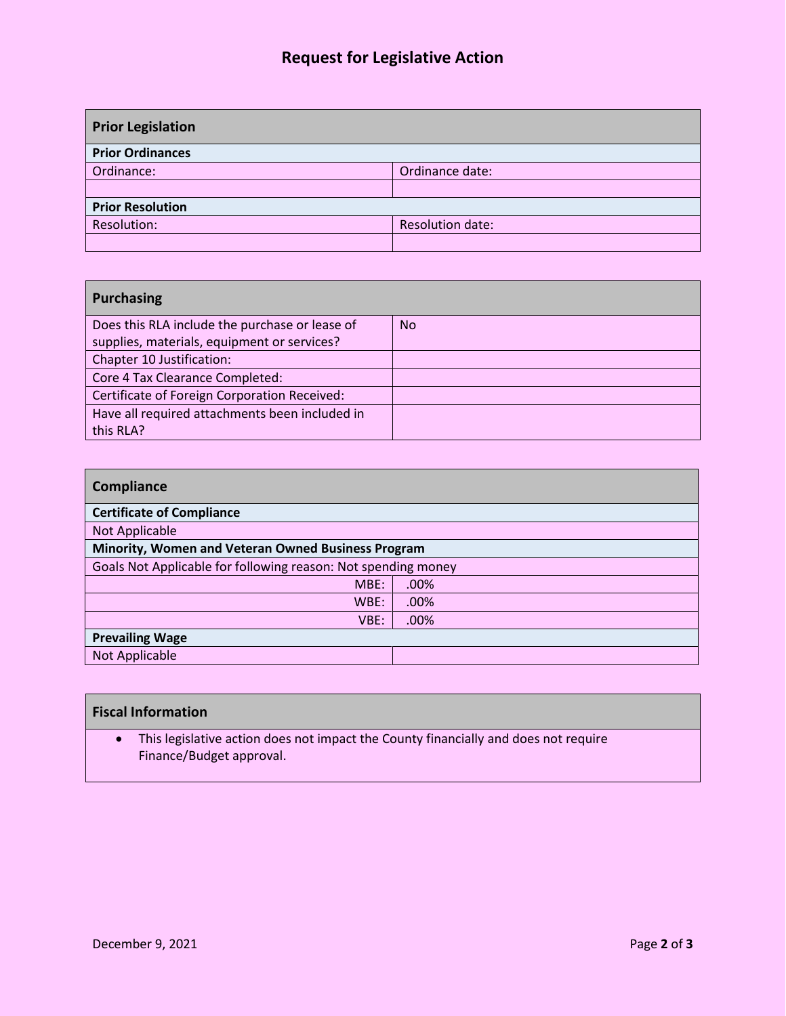## **Request for Legislative Action**

| <b>Prior Legislation</b> |                  |
|--------------------------|------------------|
| <b>Prior Ordinances</b>  |                  |
| Ordinance:               | Ordinance date:  |
|                          |                  |
| <b>Prior Resolution</b>  |                  |
| Resolution:              | Resolution date: |
|                          |                  |

| <b>Purchasing</b>                              |           |
|------------------------------------------------|-----------|
| Does this RLA include the purchase or lease of | <b>No</b> |
| supplies, materials, equipment or services?    |           |
| Chapter 10 Justification:                      |           |
| Core 4 Tax Clearance Completed:                |           |
| Certificate of Foreign Corporation Received:   |           |
| Have all required attachments been included in |           |
| this RLA?                                      |           |

| Minority, Women and Veteran Owned Business Program            |
|---------------------------------------------------------------|
| Goals Not Applicable for following reason: Not spending money |
| .00%                                                          |
| .00%                                                          |
| $.00\%$                                                       |
|                                                               |
|                                                               |
|                                                               |

| <b>Fiscal Information</b>                                                                                       |
|-----------------------------------------------------------------------------------------------------------------|
| This legislative action does not impact the County financially and does not require<br>Finance/Budget approval. |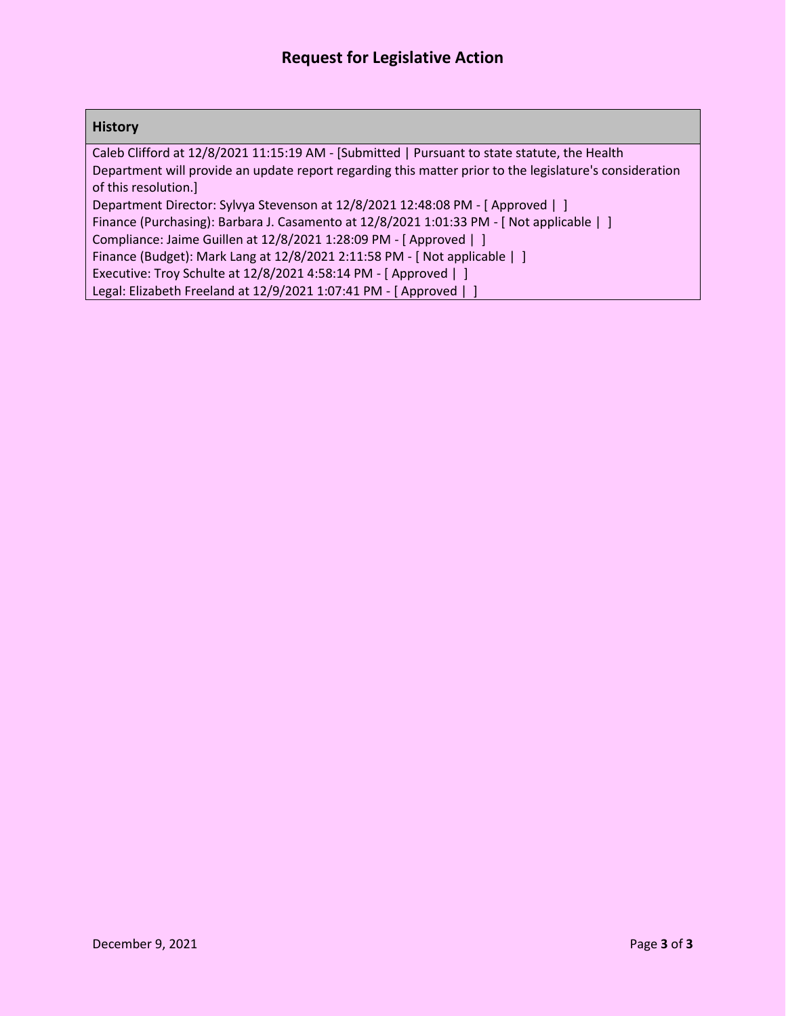#### **History**

Caleb Clifford at 12/8/2021 11:15:19 AM - [Submitted | Pursuant to state statute, the Health Department will provide an update report regarding this matter prior to the legislature's consideration of this resolution.]

Department Director: Sylvya Stevenson at 12/8/2021 12:48:08 PM - [ Approved | ]

Finance (Purchasing): Barbara J. Casamento at 12/8/2021 1:01:33 PM - [ Not applicable | ]

Compliance: Jaime Guillen at 12/8/2021 1:28:09 PM - [ Approved | ]

Finance (Budget): Mark Lang at 12/8/2021 2:11:58 PM - [ Not applicable | ]

Executive: Troy Schulte at 12/8/2021 4:58:14 PM - [ Approved | ]

Legal: Elizabeth Freeland at 12/9/2021 1:07:41 PM - [ Approved | ]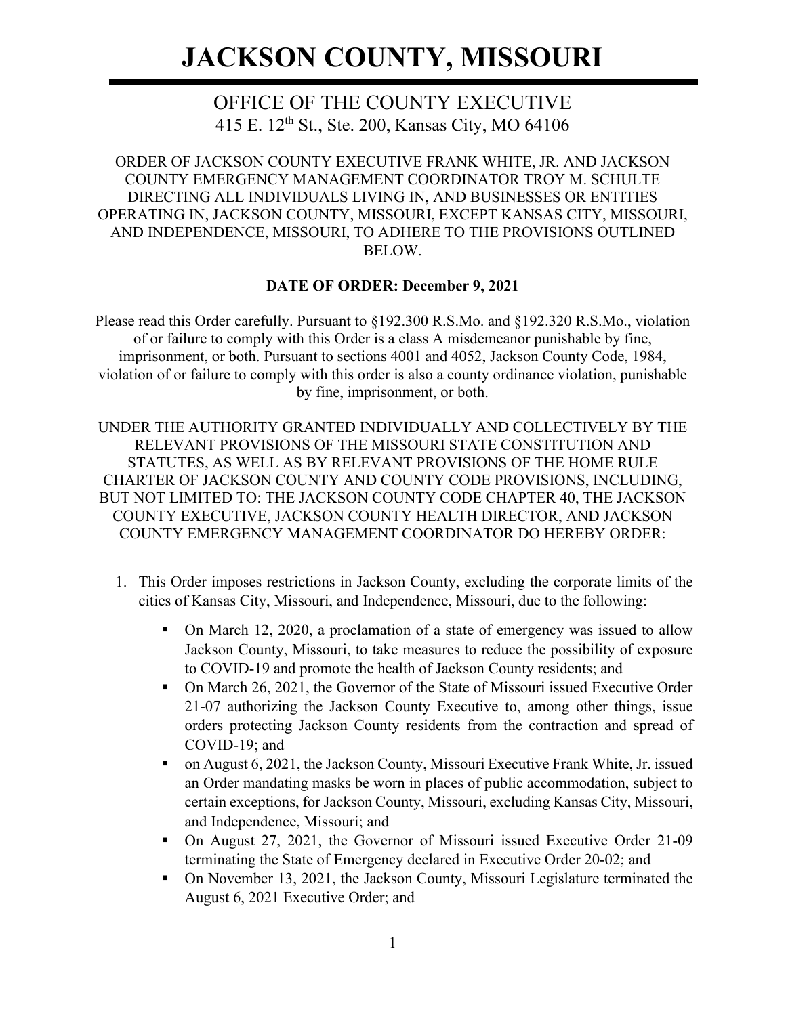### OFFICE OF THE COUNTY EXECUTIVE 415 E. 12th St., Ste. 200, Kansas City, MO 64106

ORDER OF JACKSON COUNTY EXECUTIVE FRANK WHITE, JR. AND JACKSON COUNTY EMERGENCY MANAGEMENT COORDINATOR TROY M. SCHULTE DIRECTING ALL INDIVIDUALS LIVING IN, AND BUSINESSES OR ENTITIES OPERATING IN, JACKSON COUNTY, MISSOURI, EXCEPT KANSAS CITY, MISSOURI, AND INDEPENDENCE, MISSOURI, TO ADHERE TO THE PROVISIONS OUTLINED BELOW.

#### **DATE OF ORDER: December 9, 2021**

Please read this Order carefully. Pursuant to §192.300 R.S.Mo. and §192.320 R.S.Mo., violation of or failure to comply with this Order is a class A misdemeanor punishable by fine, imprisonment, or both. Pursuant to sections 4001 and 4052, Jackson County Code, 1984, violation of or failure to comply with this order is also a county ordinance violation, punishable by fine, imprisonment, or both.

UNDER THE AUTHORITY GRANTED INDIVIDUALLY AND COLLECTIVELY BY THE RELEVANT PROVISIONS OF THE MISSOURI STATE CONSTITUTION AND STATUTES, AS WELL AS BY RELEVANT PROVISIONS OF THE HOME RULE CHARTER OF JACKSON COUNTY AND COUNTY CODE PROVISIONS, INCLUDING, BUT NOT LIMITED TO: THE JACKSON COUNTY CODE CHAPTER 40, THE JACKSON COUNTY EXECUTIVE, JACKSON COUNTY HEALTH DIRECTOR, AND JACKSON COUNTY EMERGENCY MANAGEMENT COORDINATOR DO HEREBY ORDER:

- 1. This Order imposes restrictions in Jackson County, excluding the corporate limits of the cities of Kansas City, Missouri, and Independence, Missouri, due to the following:
	- On March 12, 2020, a proclamation of a state of emergency was issued to allow Jackson County, Missouri, to take measures to reduce the possibility of exposure to COVID-19 and promote the health of Jackson County residents; and
	- On March 26, 2021, the Governor of the State of Missouri issued Executive Order 21-07 authorizing the Jackson County Executive to, among other things, issue orders protecting Jackson County residents from the contraction and spread of COVID-19; and
	- on August 6, 2021, the Jackson County, Missouri Executive Frank White, Jr. issued an Order mandating masks be worn in places of public accommodation, subject to certain exceptions, for Jackson County, Missouri, excluding Kansas City, Missouri, and Independence, Missouri; and
	- On August 27, 2021, the Governor of Missouri issued Executive Order 21-09 terminating the State of Emergency declared in Executive Order 20-02; and
	- On November 13, 2021, the Jackson County, Missouri Legislature terminated the August 6, 2021 Executive Order; and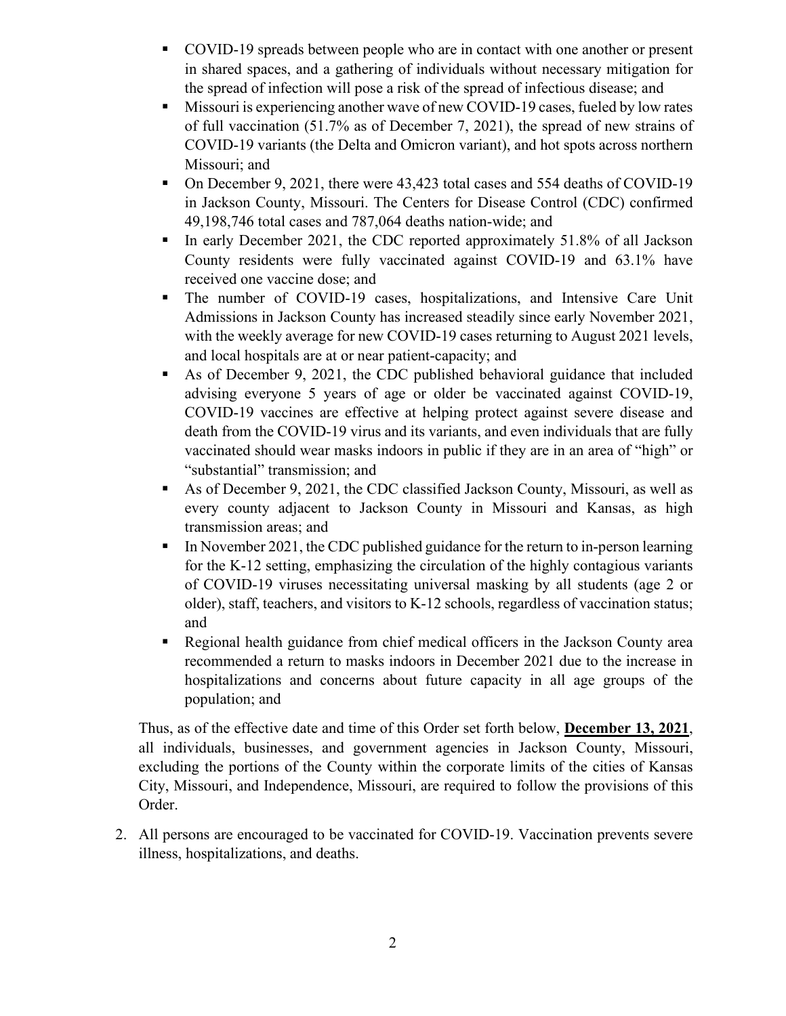- COVID-19 spreads between people who are in contact with one another or present in shared spaces, and a gathering of individuals without necessary mitigation for the spread of infection will pose a risk of the spread of infectious disease; and
- Missouri is experiencing another wave of new COVID-19 cases, fueled by low rates of full vaccination (51.7% as of December 7, 2021), the spread of new strains of COVID-19 variants (the Delta and Omicron variant), and hot spots across northern Missouri; and
- On December 9, 2021, there were 43,423 total cases and 554 deaths of COVID-19 in Jackson County, Missouri. The Centers for Disease Control (CDC) confirmed 49,198,746 total cases and 787,064 deaths nation-wide; and
- In early December 2021, the CDC reported approximately 51.8% of all Jackson County residents were fully vaccinated against COVID-19 and 63.1% have received one vaccine dose; and
- The number of COVID-19 cases, hospitalizations, and Intensive Care Unit Admissions in Jackson County has increased steadily since early November 2021, with the weekly average for new COVID-19 cases returning to August 2021 levels, and local hospitals are at or near patient-capacity; and
- As of December 9, 2021, the CDC published behavioral guidance that included advising everyone 5 years of age or older be vaccinated against COVID-19, COVID-19 vaccines are effective at helping protect against severe disease and death from the COVID-19 virus and its variants, and even individuals that are fully vaccinated should wear masks indoors in public if they are in an area of "high" or "substantial" transmission; and
- As of December 9, 2021, the CDC classified Jackson County, Missouri, as well as every county adjacent to Jackson County in Missouri and Kansas, as high transmission areas; and
- In November 2021, the CDC published guidance for the return to in-person learning for the K-12 setting, emphasizing the circulation of the highly contagious variants of COVID-19 viruses necessitating universal masking by all students (age 2 or older), staff, teachers, and visitors to K-12 schools, regardless of vaccination status; and
- Regional health guidance from chief medical officers in the Jackson County area recommended a return to masks indoors in December 2021 due to the increase in hospitalizations and concerns about future capacity in all age groups of the population; and

Thus, as of the effective date and time of this Order set forth below, **December 13, 2021**, all individuals, businesses, and government agencies in Jackson County, Missouri, excluding the portions of the County within the corporate limits of the cities of Kansas City, Missouri, and Independence, Missouri, are required to follow the provisions of this Order.

2. All persons are encouraged to be vaccinated for COVID-19. Vaccination prevents severe illness, hospitalizations, and deaths.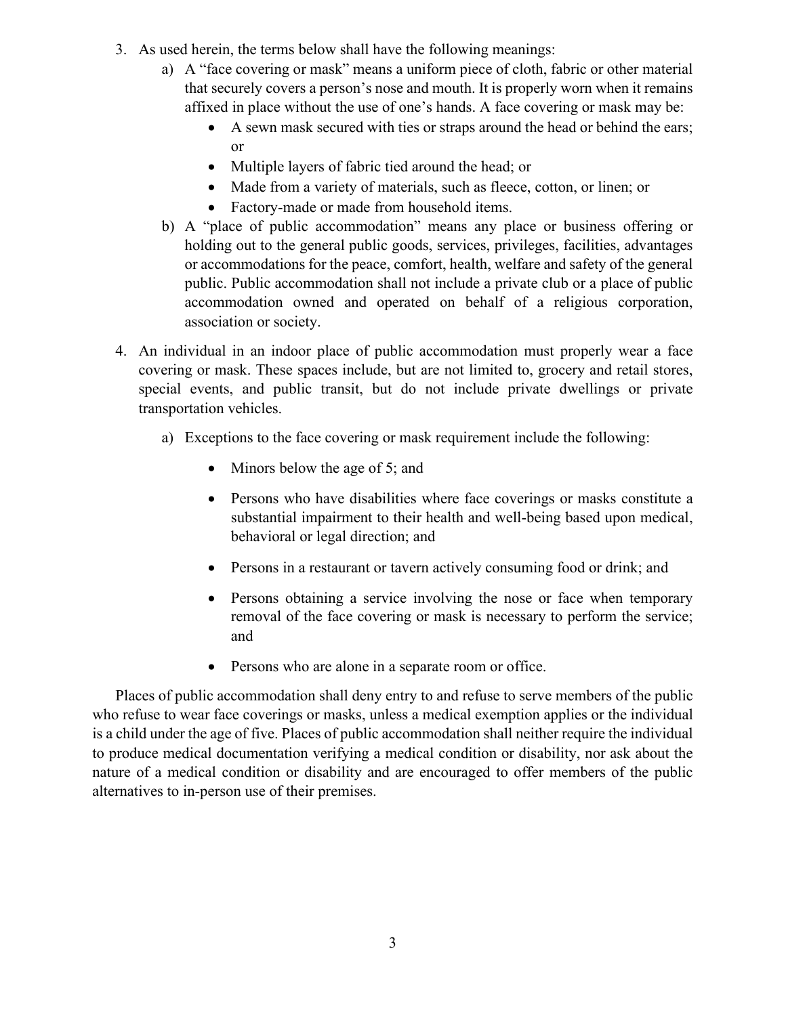- 3. As used herein, the terms below shall have the following meanings:
	- a) A "face covering or mask" means a uniform piece of cloth, fabric or other material that securely covers a person's nose and mouth. It is properly worn when it remains affixed in place without the use of one's hands. A face covering or mask may be:
		- A sewn mask secured with ties or straps around the head or behind the ears; or
		- Multiple layers of fabric tied around the head; or
		- Made from a variety of materials, such as fleece, cotton, or linen; or
		- Factory-made or made from household items.
	- b) A "place of public accommodation" means any place or business offering or holding out to the general public goods, services, privileges, facilities, advantages or accommodations for the peace, comfort, health, welfare and safety of the general public. Public accommodation shall not include a private club or a place of public accommodation owned and operated on behalf of a religious corporation, association or society.
- 4. An individual in an indoor place of public accommodation must properly wear a face covering or mask. These spaces include, but are not limited to, grocery and retail stores, special events, and public transit, but do not include private dwellings or private transportation vehicles.
	- a) Exceptions to the face covering or mask requirement include the following:
		- Minors below the age of 5; and
		- Persons who have disabilities where face coverings or masks constitute a substantial impairment to their health and well-being based upon medical, behavioral or legal direction; and
		- Persons in a restaurant or tavern actively consuming food or drink; and
		- Persons obtaining a service involving the nose or face when temporary removal of the face covering or mask is necessary to perform the service; and
		- Persons who are alone in a separate room or office.

Places of public accommodation shall deny entry to and refuse to serve members of the public who refuse to wear face coverings or masks, unless a medical exemption applies or the individual is a child under the age of five. Places of public accommodation shall neither require the individual to produce medical documentation verifying a medical condition or disability, nor ask about the nature of a medical condition or disability and are encouraged to offer members of the public alternatives to in-person use of their premises.